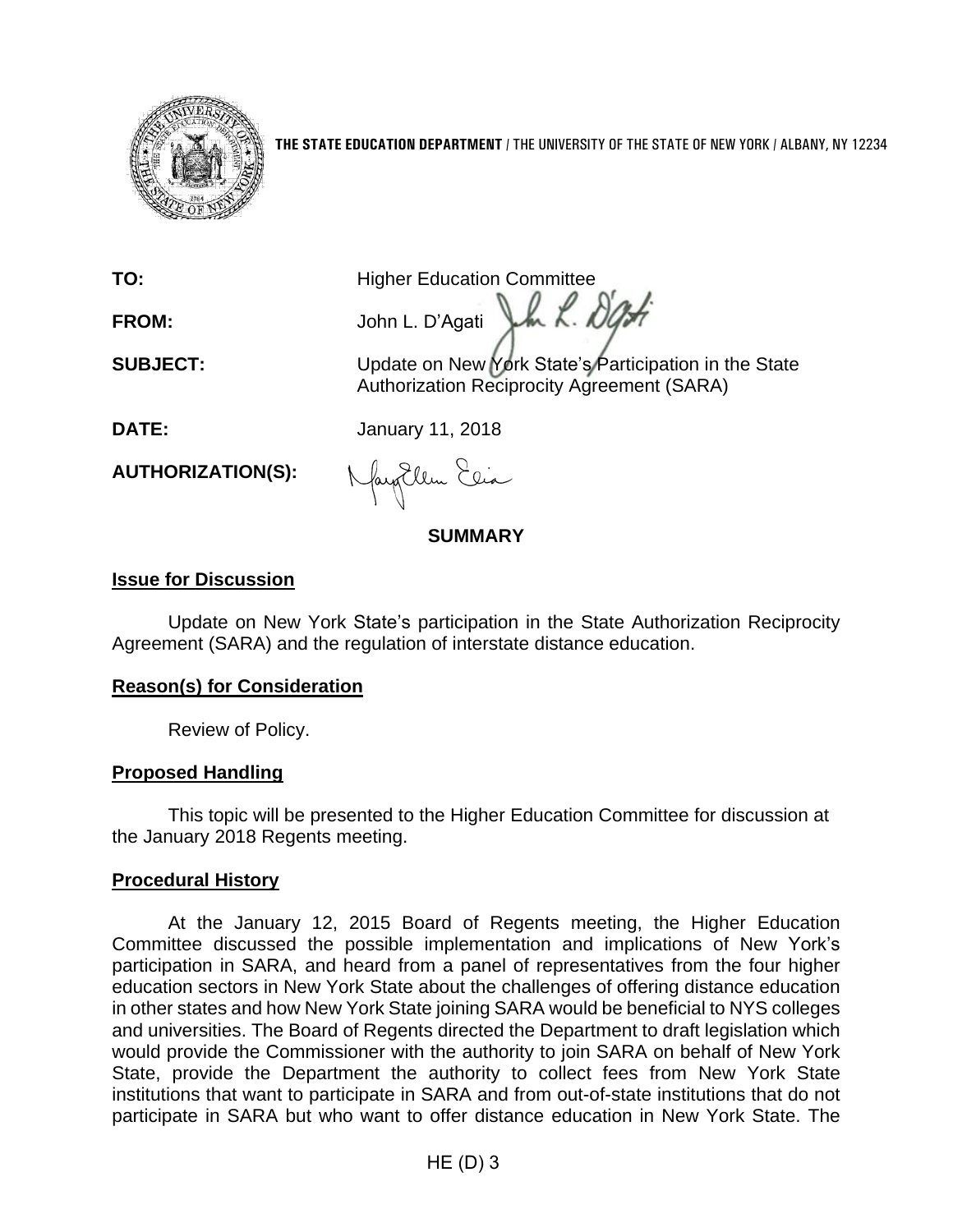

**THE STATE EDUCATION DEPARTMENT** / THE UNIVERSITY OF THE STATE OF NEW YORK / ALBANY, NY 12234

**TO:** Higher Education Committee FROM: John L. D'Agati John L. D'Agati

**SUBJECT:** Update on New York State's Participation in the State Authorization Reciprocity Agreement (SARA)

**DATE:** January 11, 2018

**AUTHORIZATION(S):**

Nayollem Elia

### **SUMMARY**

## **Issue for Discussion**

Update on New York State's participation in the State Authorization Reciprocity Agreement (SARA) and the regulation of interstate distance education.

## **Reason(s) for Consideration**

Review of Policy.

## **Proposed Handling**

This topic will be presented to the Higher Education Committee for discussion at the January 2018 Regents meeting.

## **Procedural History**

At the January 12, 2015 Board of Regents meeting, the Higher Education Committee discussed the possible implementation and implications of New York's participation in SARA, and heard from a panel of representatives from the four higher education sectors in New York State about the challenges of offering distance education in other states and how New York State joining SARA would be beneficial to NYS colleges and universities. The Board of Regents directed the Department to draft legislation which would provide the Commissioner with the authority to join SARA on behalf of New York State, provide the Department the authority to collect fees from New York State institutions that want to participate in SARA and from out-of-state institutions that do not participate in SARA but who want to offer distance education in New York State. The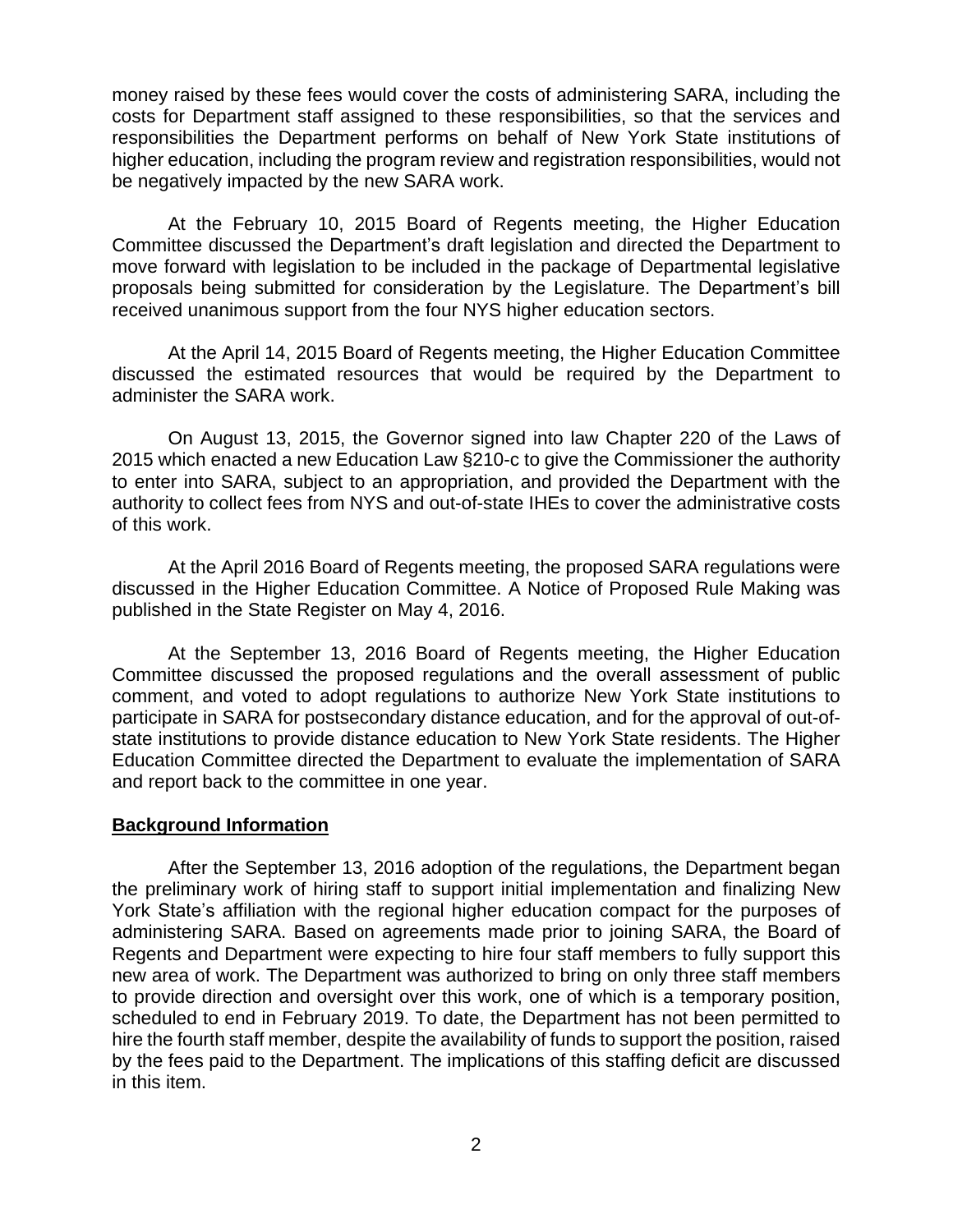money raised by these fees would cover the costs of administering SARA, including the costs for Department staff assigned to these responsibilities, so that the services and responsibilities the Department performs on behalf of New York State institutions of higher education, including the program review and registration responsibilities, would not be negatively impacted by the new SARA work.

At the February 10, 2015 Board of Regents meeting, the Higher Education Committee discussed the Department's draft legislation and directed the Department to move forward with legislation to be included in the package of Departmental legislative proposals being submitted for consideration by the Legislature. The Department's bill received unanimous support from the four NYS higher education sectors.

At the April 14, 2015 Board of Regents meeting, the Higher Education Committee discussed the estimated resources that would be required by the Department to administer the SARA work.

On August 13, 2015, the Governor signed into law Chapter 220 of the Laws of 2015 which enacted a new Education Law §210-c to give the Commissioner the authority to enter into SARA, subject to an appropriation, and provided the Department with the authority to collect fees from NYS and out-of-state IHEs to cover the administrative costs of this work.

At the April 2016 Board of Regents meeting, the proposed SARA regulations were discussed in the Higher Education Committee. A Notice of Proposed Rule Making was published in the State Register on May 4, 2016.

At the September 13, 2016 Board of Regents meeting, the Higher Education Committee discussed the proposed regulations and the overall assessment of public comment, and voted to adopt regulations to authorize New York State institutions to participate in SARA for postsecondary distance education, and for the approval of out-ofstate institutions to provide distance education to New York State residents. The Higher Education Committee directed the Department to evaluate the implementation of SARA and report back to the committee in one year.

### **Background Information**

After the September 13, 2016 adoption of the regulations, the Department began the preliminary work of hiring staff to support initial implementation and finalizing New York State's affiliation with the regional higher education compact for the purposes of administering SARA. Based on agreements made prior to joining SARA, the Board of Regents and Department were expecting to hire four staff members to fully support this new area of work. The Department was authorized to bring on only three staff members to provide direction and oversight over this work, one of which is a temporary position, scheduled to end in February 2019. To date, the Department has not been permitted to hire the fourth staff member, despite the availability of funds to support the position, raised by the fees paid to the Department. The implications of this staffing deficit are discussed in this item.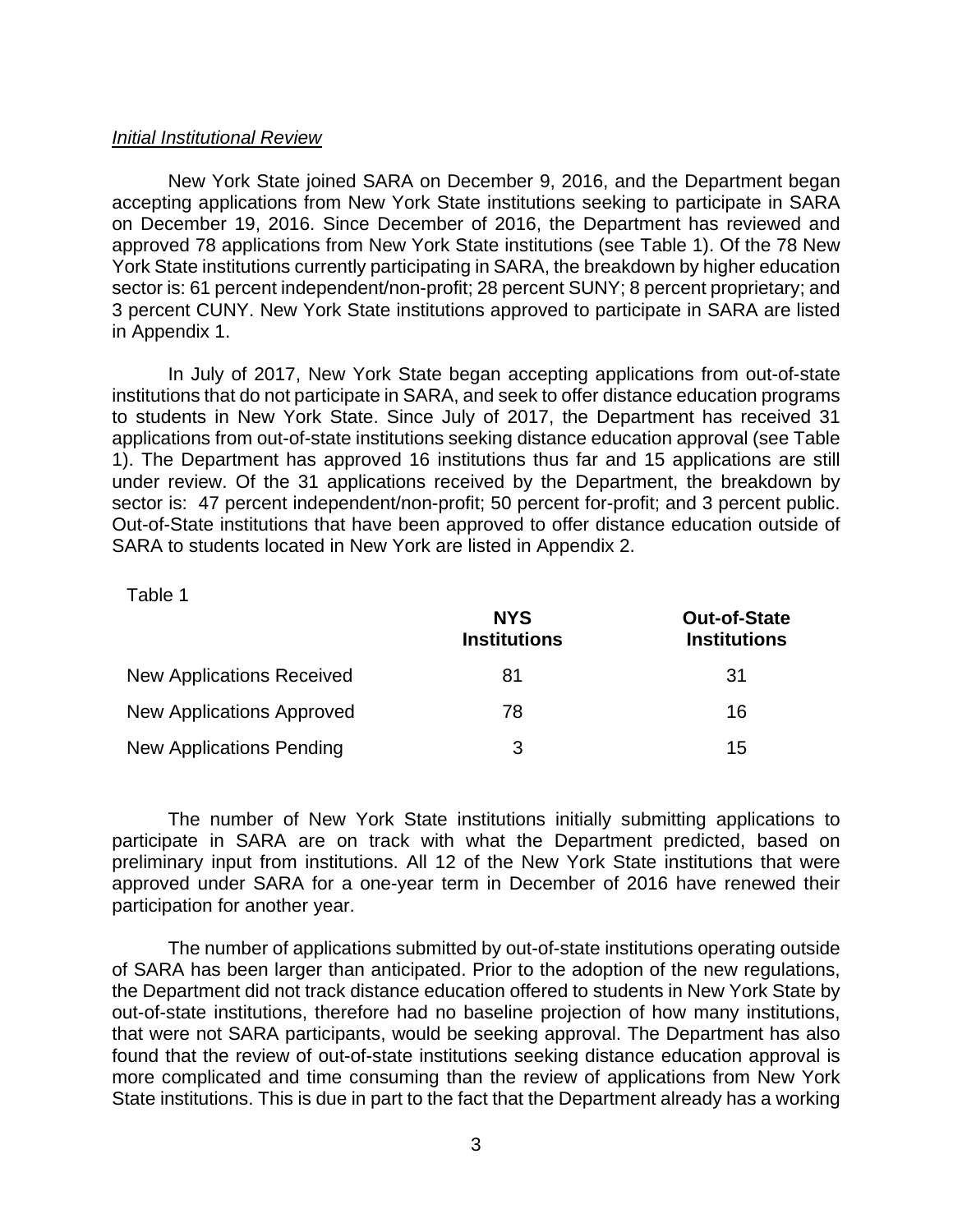#### *Initial Institutional Review*

New York State joined SARA on December 9, 2016, and the Department began accepting applications from New York State institutions seeking to participate in SARA on December 19, 2016. Since December of 2016, the Department has reviewed and approved 78 applications from New York State institutions (see Table 1). Of the 78 New York State institutions currently participating in SARA, the breakdown by higher education sector is: 61 percent independent/non-profit; 28 percent SUNY; 8 percent proprietary; and 3 percent CUNY. New York State institutions approved to participate in SARA are listed in Appendix 1.

In July of 2017, New York State began accepting applications from out-of-state institutions that do not participate in SARA, and seek to offer distance education programs to students in New York State. Since July of 2017, the Department has received 31 applications from out-of-state institutions seeking distance education approval (see Table 1). The Department has approved 16 institutions thus far and 15 applications are still under review. Of the 31 applications received by the Department, the breakdown by sector is: 47 percent independent/non-profit; 50 percent for-profit; and 3 percent public. Out-of-State institutions that have been approved to offer distance education outside of SARA to students located in New York are listed in Appendix 2.

#### Table 1

|                                  | <b>NYS</b><br><b>Institutions</b> | <b>Out-of-State</b><br><b>Institutions</b> |  |
|----------------------------------|-----------------------------------|--------------------------------------------|--|
| <b>New Applications Received</b> | 81                                | 31                                         |  |
| New Applications Approved        | 78                                | 16                                         |  |
| New Applications Pending         | 3                                 | 15                                         |  |

The number of New York State institutions initially submitting applications to participate in SARA are on track with what the Department predicted, based on preliminary input from institutions. All 12 of the New York State institutions that were approved under SARA for a one-year term in December of 2016 have renewed their participation for another year.

The number of applications submitted by out-of-state institutions operating outside of SARA has been larger than anticipated. Prior to the adoption of the new regulations, the Department did not track distance education offered to students in New York State by out-of-state institutions, therefore had no baseline projection of how many institutions, that were not SARA participants, would be seeking approval. The Department has also found that the review of out-of-state institutions seeking distance education approval is more complicated and time consuming than the review of applications from New York State institutions. This is due in part to the fact that the Department already has a working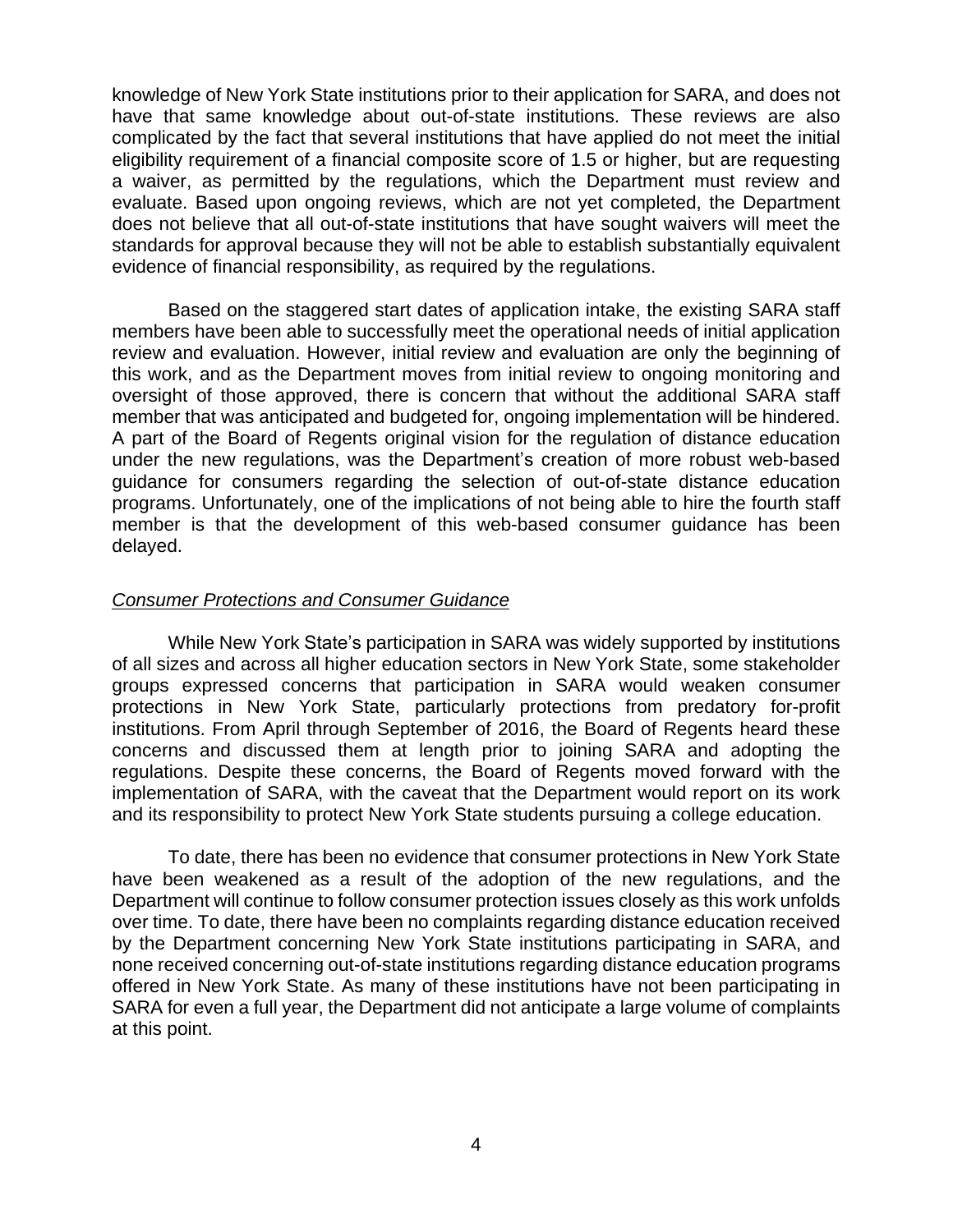knowledge of New York State institutions prior to their application for SARA, and does not have that same knowledge about out-of-state institutions. These reviews are also complicated by the fact that several institutions that have applied do not meet the initial eligibility requirement of a financial composite score of 1.5 or higher, but are requesting a waiver, as permitted by the regulations, which the Department must review and evaluate. Based upon ongoing reviews, which are not yet completed, the Department does not believe that all out-of-state institutions that have sought waivers will meet the standards for approval because they will not be able to establish substantially equivalent evidence of financial responsibility, as required by the regulations.

Based on the staggered start dates of application intake, the existing SARA staff members have been able to successfully meet the operational needs of initial application review and evaluation. However, initial review and evaluation are only the beginning of this work, and as the Department moves from initial review to ongoing monitoring and oversight of those approved, there is concern that without the additional SARA staff member that was anticipated and budgeted for, ongoing implementation will be hindered. A part of the Board of Regents original vision for the regulation of distance education under the new regulations, was the Department's creation of more robust web-based guidance for consumers regarding the selection of out-of-state distance education programs. Unfortunately, one of the implications of not being able to hire the fourth staff member is that the development of this web-based consumer guidance has been delayed.

### *Consumer Protections and Consumer Guidance*

While New York State's participation in SARA was widely supported by institutions of all sizes and across all higher education sectors in New York State, some stakeholder groups expressed concerns that participation in SARA would weaken consumer protections in New York State, particularly protections from predatory for-profit institutions. From April through September of 2016, the Board of Regents heard these concerns and discussed them at length prior to joining SARA and adopting the regulations. Despite these concerns, the Board of Regents moved forward with the implementation of SARA, with the caveat that the Department would report on its work and its responsibility to protect New York State students pursuing a college education.

To date, there has been no evidence that consumer protections in New York State have been weakened as a result of the adoption of the new regulations, and the Department will continue to follow consumer protection issues closely as this work unfolds over time. To date, there have been no complaints regarding distance education received by the Department concerning New York State institutions participating in SARA, and none received concerning out-of-state institutions regarding distance education programs offered in New York State. As many of these institutions have not been participating in SARA for even a full year, the Department did not anticipate a large volume of complaints at this point.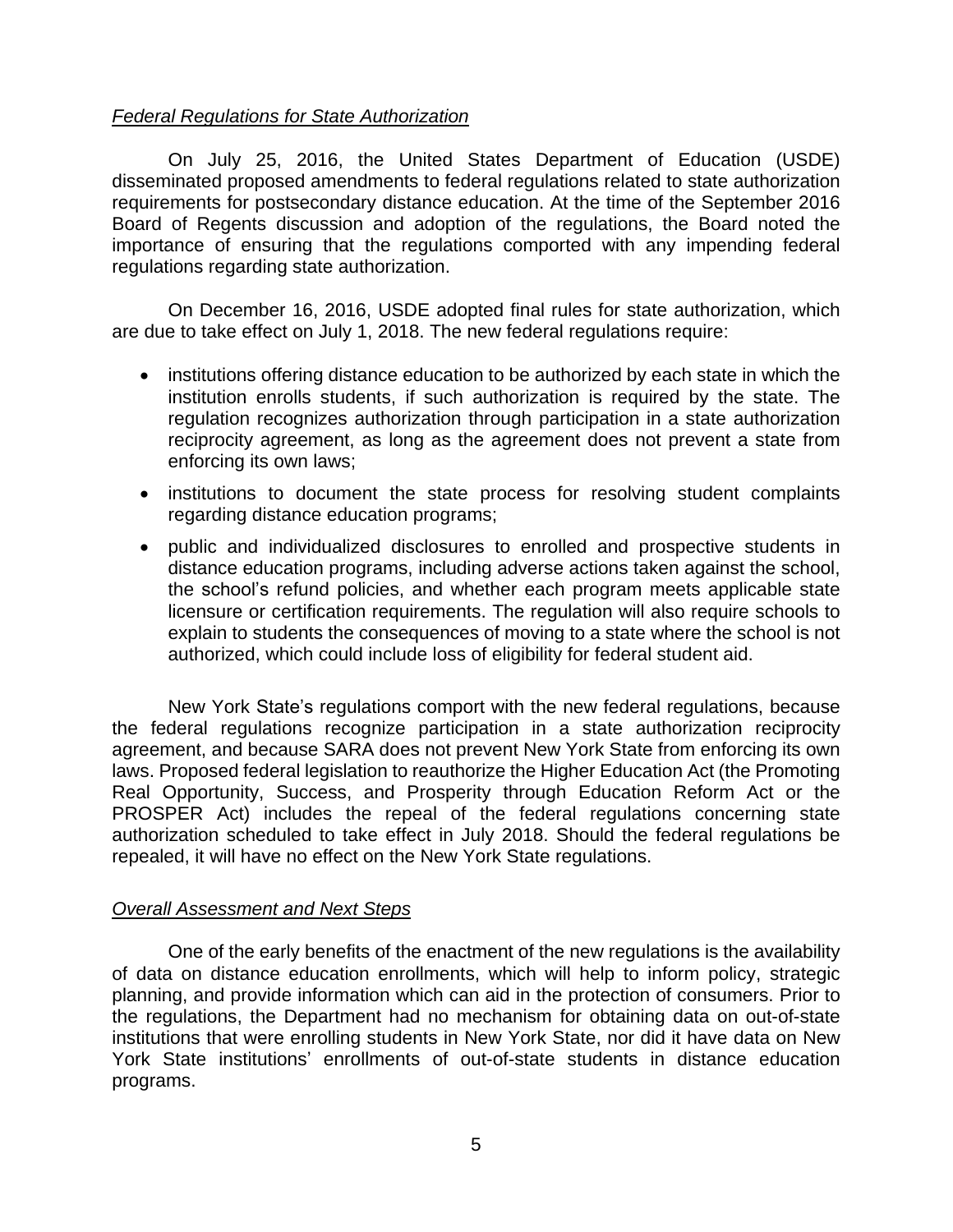## *Federal Regulations for State Authorization*

On July 25, 2016, the United States Department of Education (USDE) disseminated proposed amendments to federal regulations related to state authorization requirements for postsecondary distance education. At the time of the September 2016 Board of Regents discussion and adoption of the regulations, the Board noted the importance of ensuring that the regulations comported with any impending federal regulations regarding state authorization.

On December 16, 2016, USDE adopted final rules for state authorization, which are due to take effect on July 1, 2018. The new federal regulations require:

- institutions offering distance education to be authorized by each state in which the institution enrolls students, if such authorization is required by the state. The regulation recognizes authorization through participation in a state authorization reciprocity agreement, as long as the agreement does not prevent a state from enforcing its own laws;
- institutions to document the state process for resolving student complaints regarding distance education programs;
- public and individualized disclosures to enrolled and prospective students in distance education programs, including adverse actions taken against the school, the school's refund policies, and whether each program meets applicable state licensure or certification requirements. The regulation will also require schools to explain to students the consequences of moving to a state where the school is not authorized, which could include loss of eligibility for federal student aid.

New York State's regulations comport with the new federal regulations, because the federal regulations recognize participation in a state authorization reciprocity agreement, and because SARA does not prevent New York State from enforcing its own laws. Proposed federal legislation to reauthorize the Higher Education Act (the Promoting Real Opportunity, Success, and Prosperity through Education Reform Act or the PROSPER Act) includes the repeal of the federal regulations concerning state authorization scheduled to take effect in July 2018. Should the federal regulations be repealed, it will have no effect on the New York State regulations.

## *Overall Assessment and Next Steps*

One of the early benefits of the enactment of the new regulations is the availability of data on distance education enrollments, which will help to inform policy, strategic planning, and provide information which can aid in the protection of consumers. Prior to the regulations, the Department had no mechanism for obtaining data on out-of-state institutions that were enrolling students in New York State, nor did it have data on New York State institutions' enrollments of out-of-state students in distance education programs.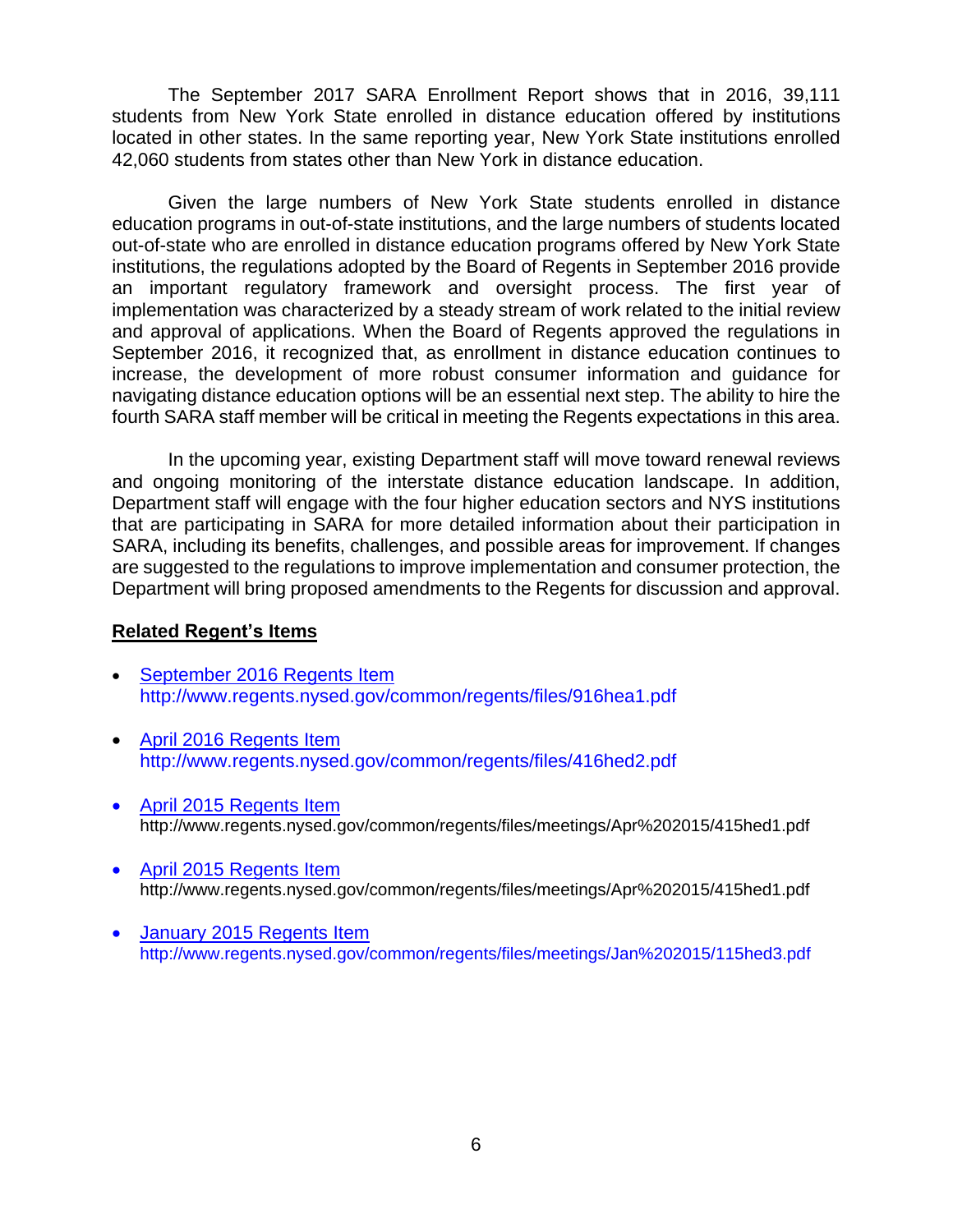The September 2017 SARA Enrollment Report shows that in 2016, 39,111 students from New York State enrolled in distance education offered by institutions located in other states. In the same reporting year, New York State institutions enrolled 42,060 students from states other than New York in distance education.

Given the large numbers of New York State students enrolled in distance education programs in out-of-state institutions, and the large numbers of students located out-of-state who are enrolled in distance education programs offered by New York State institutions, the regulations adopted by the Board of Regents in September 2016 provide an important regulatory framework and oversight process. The first year of implementation was characterized by a steady stream of work related to the initial review and approval of applications. When the Board of Regents approved the regulations in September 2016, it recognized that, as enrollment in distance education continues to increase, the development of more robust consumer information and guidance for navigating distance education options will be an essential next step. The ability to hire the fourth SARA staff member will be critical in meeting the Regents expectations in this area.

In the upcoming year, existing Department staff will move toward renewal reviews and ongoing monitoring of the interstate distance education landscape. In addition, Department staff will engage with the four higher education sectors and NYS institutions that are participating in SARA for more detailed information about their participation in SARA, including its benefits, challenges, and possible areas for improvement. If changes are suggested to the regulations to improve implementation and consumer protection, the Department will bring proposed amendments to the Regents for discussion and approval.

### **Related Regent's Items**

- [September](http://www.regents.nysed.gov/common/regents/files/916hea1.pdf) 2016 Regents Item http://www.regents.nysed.gov/common/regents/files/916hea1.pdf
- April 2016 [Regents](http://www.regents.nysed.gov/common/regents/files/416hed2.pdf) Item http://www.regents.nysed.gov/common/regents/files/416hed2.pdf
- April 2015 [Regents](http://www.regents.nysed.gov/common/regents/files/meetings/Apr%202015/415hed1.pdf) Item http://www.regents.nysed.gov/common/regents/files/meetings/Apr%202015/415hed1.pdf
- April 2015 [Regents](http://www.regents.nysed.gov/common/regents/files/215hea2Revised.pdf) Item <http://www.regents.nysed.gov/common/regents/files/meetings/Apr%202015/415hed1.pdf>
- January 2015 [Regents](http://www.regents.nysed.gov/common/regents/files/meetings/Jan%202015/115hed3.pdf) Item http://www.regents.nysed.gov/common/regents/files/meetings/Jan%202015/115hed3.pdf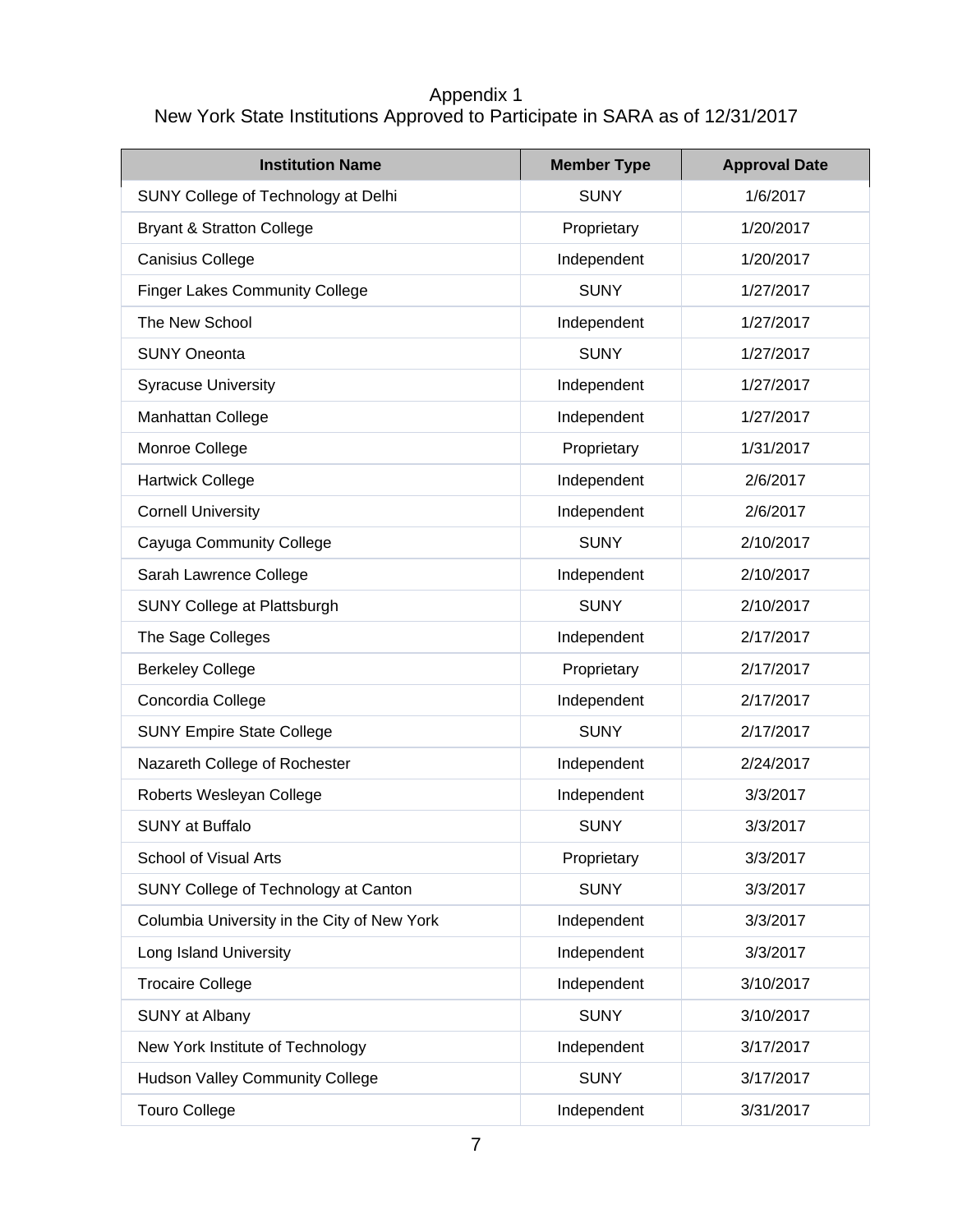# Appendix 1 New York State Institutions Approved to Participate in SARA as of 12/31/2017

| <b>Institution Name</b>                     | <b>Member Type</b> | <b>Approval Date</b> |
|---------------------------------------------|--------------------|----------------------|
| SUNY College of Technology at Delhi         | <b>SUNY</b>        | 1/6/2017             |
| <b>Bryant &amp; Stratton College</b>        | Proprietary        | 1/20/2017            |
| <b>Canisius College</b>                     | Independent        | 1/20/2017            |
| <b>Finger Lakes Community College</b>       | <b>SUNY</b>        | 1/27/2017            |
| The New School                              | Independent        | 1/27/2017            |
| <b>SUNY Oneonta</b>                         | <b>SUNY</b>        | 1/27/2017            |
| <b>Syracuse University</b>                  | Independent        | 1/27/2017            |
| Manhattan College                           | Independent        | 1/27/2017            |
| Monroe College                              | Proprietary        | 1/31/2017            |
| <b>Hartwick College</b>                     | Independent        | 2/6/2017             |
| <b>Cornell University</b>                   | Independent        | 2/6/2017             |
| Cayuga Community College                    | <b>SUNY</b>        | 2/10/2017            |
| Sarah Lawrence College                      | Independent        | 2/10/2017            |
| SUNY College at Plattsburgh                 | <b>SUNY</b>        | 2/10/2017            |
| The Sage Colleges                           | Independent        | 2/17/2017            |
| <b>Berkeley College</b>                     | Proprietary        | 2/17/2017            |
| Concordia College                           | Independent        | 2/17/2017            |
| <b>SUNY Empire State College</b>            | <b>SUNY</b>        | 2/17/2017            |
| Nazareth College of Rochester               | Independent        | 2/24/2017            |
| Roberts Wesleyan College                    | Independent        | 3/3/2017             |
| <b>SUNY</b> at Buffalo                      | <b>SUNY</b>        | 3/3/2017             |
| <b>School of Visual Arts</b>                | Proprietary        | 3/3/2017             |
| SUNY College of Technology at Canton        | <b>SUNY</b>        | 3/3/2017             |
| Columbia University in the City of New York | Independent        | 3/3/2017             |
| Long Island University                      | Independent        | 3/3/2017             |
| <b>Trocaire College</b>                     | Independent        | 3/10/2017            |
| <b>SUNY</b> at Albany                       | <b>SUNY</b>        | 3/10/2017            |
| New York Institute of Technology            | Independent        | 3/17/2017            |
| <b>Hudson Valley Community College</b>      | <b>SUNY</b>        | 3/17/2017            |
| <b>Touro College</b>                        | Independent        | 3/31/2017            |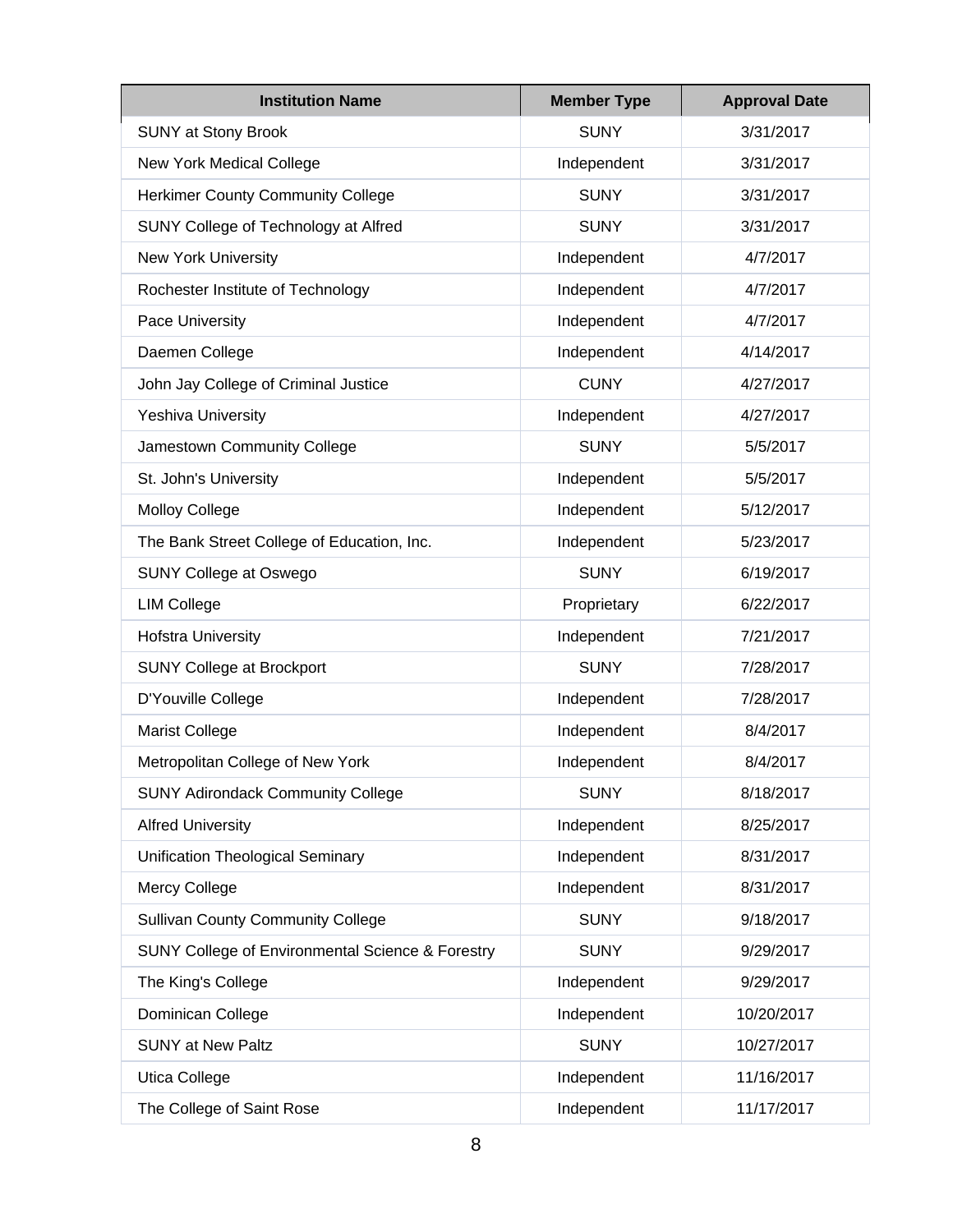| <b>Institution Name</b>                          | <b>Member Type</b> | <b>Approval Date</b> |
|--------------------------------------------------|--------------------|----------------------|
| <b>SUNY at Stony Brook</b>                       | <b>SUNY</b>        | 3/31/2017            |
| New York Medical College                         | Independent        | 3/31/2017            |
| <b>Herkimer County Community College</b>         | <b>SUNY</b>        | 3/31/2017            |
| SUNY College of Technology at Alfred             | <b>SUNY</b>        | 3/31/2017            |
| New York University                              | Independent        | 4/7/2017             |
| Rochester Institute of Technology                | Independent        | 4/7/2017             |
| Pace University                                  | Independent        | 4/7/2017             |
| Daemen College                                   | Independent        | 4/14/2017            |
| John Jay College of Criminal Justice             | <b>CUNY</b>        | 4/27/2017            |
| <b>Yeshiva University</b>                        | Independent        | 4/27/2017            |
| Jamestown Community College                      | <b>SUNY</b>        | 5/5/2017             |
| St. John's University                            | Independent        | 5/5/2017             |
| <b>Molloy College</b>                            | Independent        | 5/12/2017            |
| The Bank Street College of Education, Inc.       | Independent        | 5/23/2017            |
| <b>SUNY College at Oswego</b>                    | <b>SUNY</b>        | 6/19/2017            |
| <b>LIM College</b>                               | Proprietary        | 6/22/2017            |
| <b>Hofstra University</b>                        | Independent        | 7/21/2017            |
| <b>SUNY College at Brockport</b>                 | <b>SUNY</b>        | 7/28/2017            |
| D'Youville College                               | Independent        | 7/28/2017            |
| <b>Marist College</b>                            | Independent        | 8/4/2017             |
| Metropolitan College of New York                 | Independent        | 8/4/2017             |
| <b>SUNY Adirondack Community College</b>         | <b>SUNY</b>        | 8/18/2017            |
| <b>Alfred University</b>                         | Independent        | 8/25/2017            |
| Unification Theological Seminary                 | Independent        | 8/31/2017            |
| Mercy College                                    | Independent        | 8/31/2017            |
| <b>Sullivan County Community College</b>         | <b>SUNY</b>        | 9/18/2017            |
| SUNY College of Environmental Science & Forestry | <b>SUNY</b>        | 9/29/2017            |
| The King's College                               | Independent        | 9/29/2017            |
| Dominican College                                | Independent        | 10/20/2017           |
| <b>SUNY at New Paltz</b>                         | <b>SUNY</b>        | 10/27/2017           |
| Utica College                                    | Independent        | 11/16/2017           |
| The College of Saint Rose                        | Independent        | 11/17/2017           |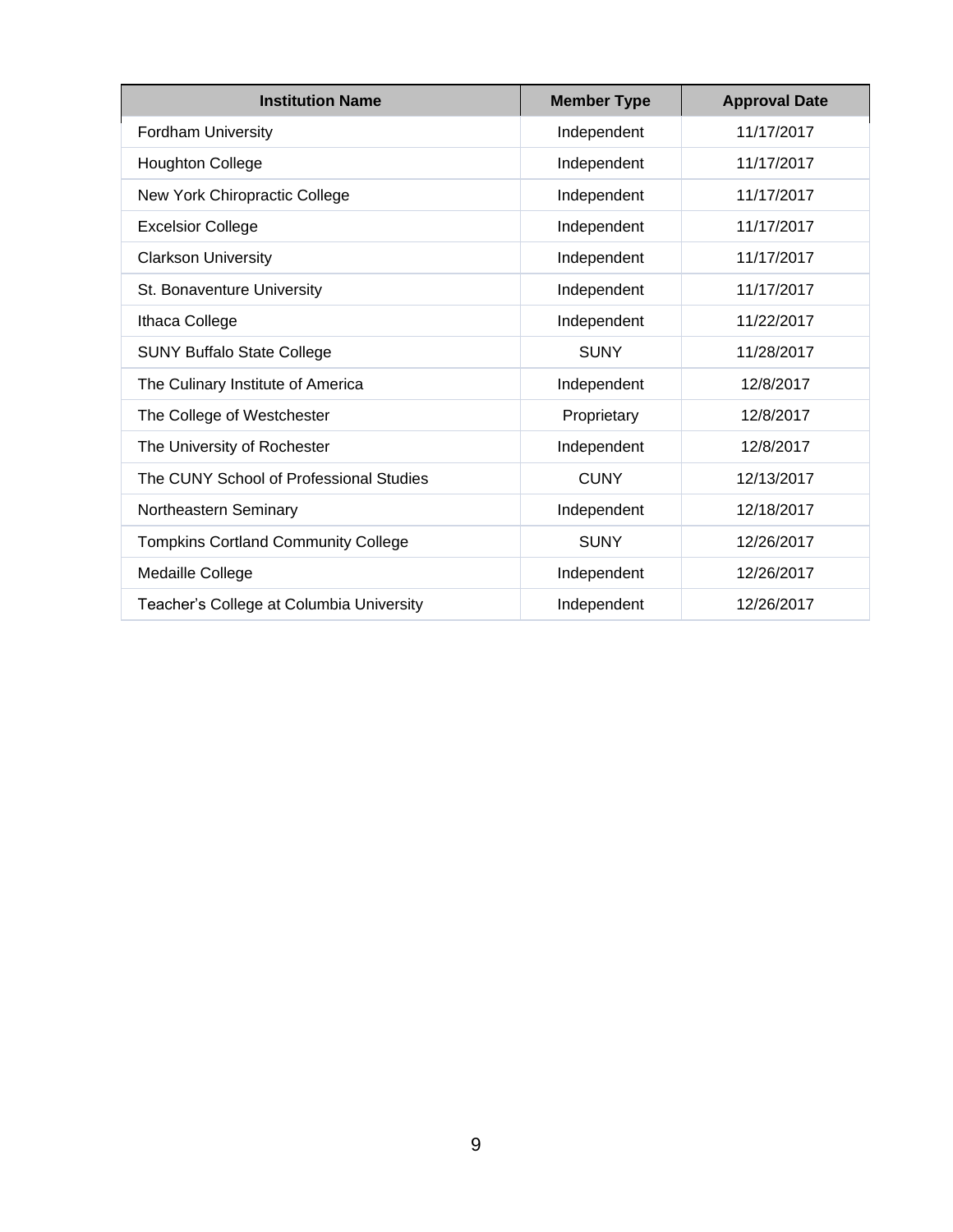| <b>Institution Name</b>                    | <b>Member Type</b> | <b>Approval Date</b> |
|--------------------------------------------|--------------------|----------------------|
| Fordham University                         | Independent        | 11/17/2017           |
| <b>Houghton College</b>                    | Independent        | 11/17/2017           |
| New York Chiropractic College              | Independent        | 11/17/2017           |
| <b>Excelsior College</b>                   | Independent        | 11/17/2017           |
| <b>Clarkson University</b>                 | Independent        | 11/17/2017           |
| St. Bonaventure University                 | Independent        | 11/17/2017           |
| Ithaca College                             | Independent        | 11/22/2017           |
| <b>SUNY Buffalo State College</b>          | <b>SUNY</b>        | 11/28/2017           |
| The Culinary Institute of America          | Independent        | 12/8/2017            |
| The College of Westchester                 | Proprietary        | 12/8/2017            |
| The University of Rochester                | Independent        | 12/8/2017            |
| The CUNY School of Professional Studies    | <b>CUNY</b>        | 12/13/2017           |
| Northeastern Seminary                      | Independent        | 12/18/2017           |
| <b>Tompkins Cortland Community College</b> | <b>SUNY</b>        | 12/26/2017           |
| Medaille College                           | Independent        | 12/26/2017           |
| Teacher's College at Columbia University   | Independent        | 12/26/2017           |